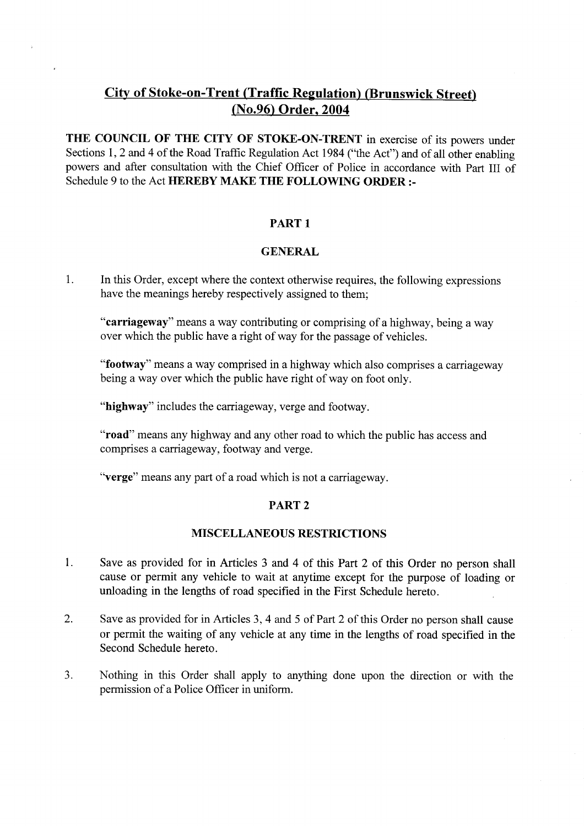# City of **Stoke-on**-**Trent** (**Traffic Regulation)** (**Brunswick Street)** (No.96) **Order, 2004**

THE COUNCIL OF THE CITY OF STOKE-ON-TRENT in exercise of its powers under Sections 1, 2 and 4 of the Road Traffic Regulation Act 1984 ("the Act") and of all other enabling powers and after consultation with the Chief Officer of Police in accordance with Part III of Schedule 9 to the Act HEREBY MAKE THE FOLLOWING **ORDER :-**

## PART 1

#### GENERAL

1. In this Order, except where the context otherwise requires, the following expressions have the meanings hereby respectively assigned to them;

**"carriageway**" means a way contributing or comprising of a highway, being a way over which the public have a right of way for the passage of vehicles.

**"footway**" means a way comprised in a highway which also comprises a carriageway being a way over which the public have right of way on foot only.

"**highway**" includes the carriageway, verge and footway.

**"road**" means any highway and any other road to which the public has access and comprises a carriageway, footway and verge.

"**verge**" means any part of a road which is not a carriageway.

# PART 2

#### MISCELLANEOUS RESTRICTIONS

- 1. Save as provided for in Articles 3 and 4 of this Part 2 of this Order no person shall cause or permit any vehicle to wait at anytime except for the purpose of loading or unloading in the lengths of road specified in the First Schedule hereto.
- 2. Save as provided for in Articles 3, 4 and 5 of Part 2 of this Order no person shall cause or permit the waiting of any vehicle at any time in the lengths of road specified in the Second Schedule hereto.
- 3. Nothing in this Order shall apply to anything done upon the direction or with the permission of a Police Officer in uniform.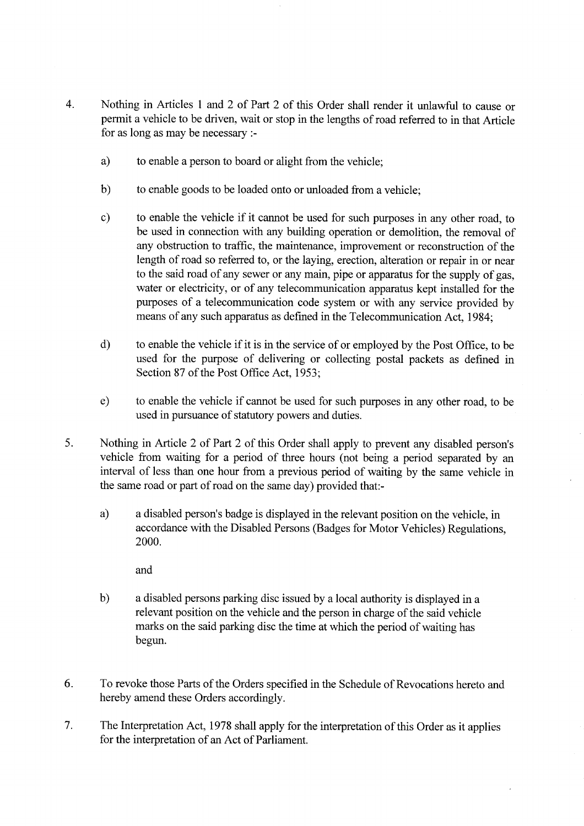- 4. Nothing in Articles 1 and 2 of Part 2 of this Order shall render it unlawful to cause or permit a vehicle to be driven, wait or stop in the lengths of road referred to in that Article for as long as may be necessary :
	- a) to enable a person to board or alight from the vehicle;
	- b) to enable goods to be loaded onto or unloaded from a vehicle;
	- c) to enable the vehicle if it cannot be used for such purposes in any other road, to be used in connection with any building operation or demolition, the removal of any obstruction to traffic, the maintenance, improvement or reconstruction of the length of road so referred to, or the laying, erection, alteration or repair in or near to the said road of any sewer or any main, pipe or apparatus for the supply of gas, water or electricity, or of any telecommunication apparatus kept installed for the purposes of a telecommunication code system or with any service provided by means of any such apparatus as defined in the Telecommunication Act, 1984;
	- d) to enable the vehicle if it is in the service of or employed by the Post Office, to be used for the purpose of delivering or collecting postal packets as defined in Section 87 of the Post Office Act, 1953;
	- e) to enable the vehicle if cannot be used for such purposes in any other road, to be used in pursuance of statutory powers and duties.
- 5. Nothing in Article 2 of Part 2 of this Order shall apply to prevent any disabled person's vehicle from waiting for a period of three hours (not being a period separated by an interval of less than one hour from a previous period of waiting by the same vehicle in the same road or part of road on the same day) provided that:
	- a) a disabled person's badge is displayed in the relevant position on the vehicle, in accordance with the Disabled Persons (Badges for Motor Vehicles) Regulations, 2000.

and

- b) a disabled persons parking disc issued by a local authority is displayed in a relevant position on the vehicle and the person in charge of the said vehicle marks on the said parking disc the time at which the period of waiting has begun.
- 6. To revoke those Parts of the Orders specified in the Schedule of Revocations hereto and hereby amend these Orders accordingly.
- 7. The Interpretation Act, 1978 shall apply for the interpretation of this Order as it applies for the interpretation of an Act of Parliament.